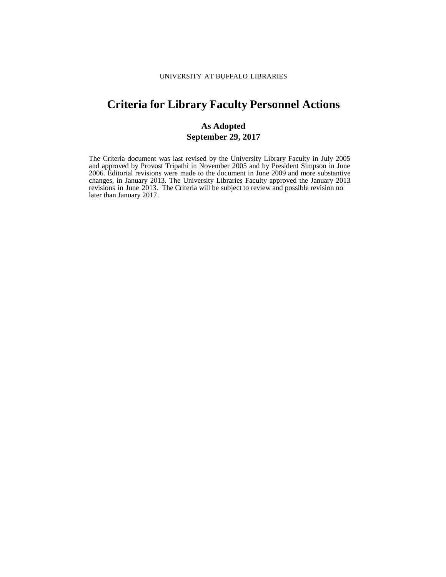# **Criteria for Library Faculty Personnel Actions**

## **As Adopted September 29, 2017**

The Criteria document was last revised by the University Library Faculty in July 2005 and approved by Provost Tripathi in November 2005 and by President Simpson in June 2006. Editorial revisions were made to the document in June 2009 and more substantive changes, in January 2013. The University Libraries Faculty approved the January 2013 revisions in June 2013. The Criteria will be subject to review and possible revision no later than January 2017.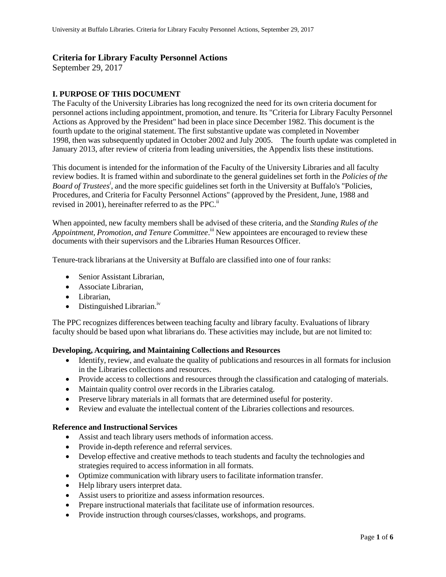## **Criteria for Library Faculty Personnel Actions**

September 29, 2017

## **I. PURPOSE OF THIS DOCUMENT**

The Faculty of the University Libraries has long recognized the need for its own criteria document for personnel actions including appointment, promotion, and tenure. Its "Criteria for Library Faculty Personnel Actions as Approved by the President" had been in place since December 1982. This document is the fourth update to the original statement. The first substantive update was completed in November 1998, then was subsequently updated in October 2002 and July 2005. The fourth update was completed in January 2013, after review of criteria from leading universities, the Appendix lists these institutions.

This document is intended for the information of the Faculty of the University Libraries and all faculty review bodies. It is framed within and subordinate to the general guidelines set forth in the *Policies of the Board of Trustees i* , and the more specific guidelines set forth in the University at Buffalo's "Policies, Procedures, and Criteria for Faculty Personnel Actions" (approved by the President, June, 1988 and revised in 2001), hereinafter referred to as the PPC.<sup>ii</sup>

When appointed, new faculty members shall be advised of these criteria, and the *Standing Rules of the Appointment, Promotion, and Tenure Committee*. iii New appointees are encouraged to review these documents with their supervisors and the Libraries Human Resources Officer.

Tenure-track librarians at the University at Buffalo are classified into one of four ranks:

- Senior Assistant Librarian,
- Associate Librarian,
- Librarian,
- $\bullet$  Distinguished Librarian.<sup>iv</sup>

The PPC recognizes differences between teaching faculty and library faculty. Evaluations of library faculty should be based upon what librarians do. These activities may include, but are not limited to:

#### **Developing, Acquiring, and Maintaining Collections and Resources**

- Identify, review, and evaluate the quality of publications and resources in all formats for inclusion in the Libraries collections and resources.
- Provide access to collections and resources through the classification and cataloging of materials.
- Maintain quality control over records in the Libraries catalog.
- Preserve library materials in all formats that are determined useful for posterity.
- Review and evaluate the intellectual content of the Libraries collections and resources.

#### **Reference and Instructional Services**

- Assist and teach library users methods of information access.
- Provide in-depth reference and referral services.
- Develop effective and creative methods to teach students and faculty the technologies and strategies required to access information in all formats.
- Optimize communication with library users to facilitate information transfer.
- Help library users interpret data.
- Assist users to prioritize and assess information resources.
- Prepare instructional materials that facilitate use of information resources.
- Provide instruction through courses/classes, workshops, and programs.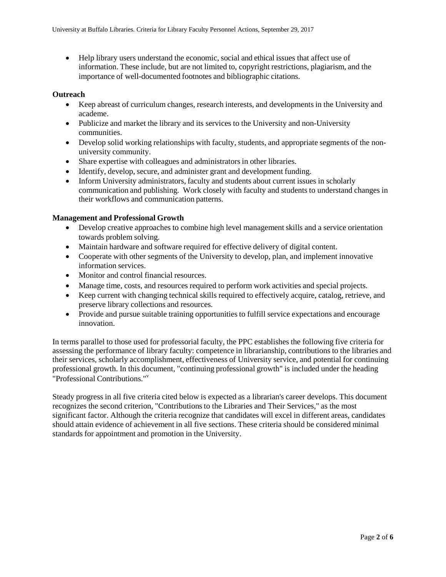Help library users understand the economic, social and ethical issues that affect use of information. These include, but are not limited to, copyright restrictions, plagiarism, and the importance of well-documented footnotes and bibliographic citations.

#### **Outreach**

- Keep abreast of curriculum changes, research interests, and developments in the University and academe.
- Publicize and market the library and its services to the University and non-University communities.
- Develop solid working relationships with faculty, students, and appropriate segments of the nonuniversity community.
- Share expertise with colleagues and administrators in other libraries.
- Identify, develop, secure, and administer grant and development funding.
- Inform University administrators, faculty and students about current issues in scholarly communication and publishing. Work closely with faculty and students to understand changes in their workflows and communication patterns.

#### **Management and Professional Growth**

- Develop creative approaches to combine high level management skills and a service orientation towards problem solving.
- Maintain hardware and software required for effective delivery of digital content.
- Cooperate with other segments of the University to develop, plan, and implement innovative information services.
- Monitor and control financial resources.
- Manage time, costs, and resources required to perform work activities and special projects.
- Keep current with changing technical skills required to effectively acquire, catalog, retrieve, and preserve library collections and resources.
- Provide and pursue suitable training opportunities to fulfill service expectations and encourage innovation.

In terms parallel to those used for professorial faculty, the PPC establishes the following five criteria for assessing the performance of library faculty: competence in librarianship, contributions to the libraries and their services, scholarly accomplishment, effectiveness of University service, and potential for continuing professional growth. In this document, "continuing professional growth" is included under the heading "Professional Contributions."<sup>v</sup>

Steady progress in all five criteria cited below is expected as a librarian's career develops. This document recognizes the second criterion, "Contributions to the Libraries and Their Services," as the most significant factor. Although the criteria recognize that candidates will excel in different areas, candidates should attain evidence of achievement in all five sections. These criteria should be considered minimal standards for appointment and promotion in the University.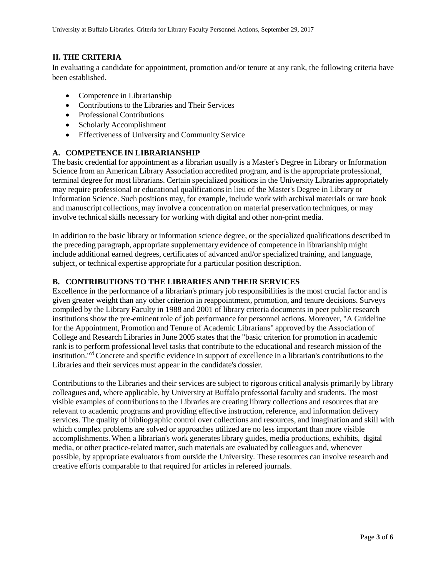### **II. THE CRITERIA**

 In evaluating a candidate for appointment, promotion and/or tenure at any rank, the following criteria have been established.

- Competence in Librarianship
- Contributions to the Libraries and Their Services
- Professional Contributions
- Scholarly Accomplishment
- Effectiveness of University and Community Service

## **A. COMPETENCE IN LIBRARIANSHIP**

The basic credential for appointment as a librarian usually is a Master's Degree in Library or Information Science from an American Library Association accredited program, and is the appropriate professional, terminal degree for most librarians. Certain specialized positions in the University Libraries appropriately may require professional or educational qualificationsin lieu of the Master's Degree in Library or Information Science. Such positions may, for example, include work with archival materials or rare book and manuscript collections, may involve a concentration on material preservation techniques, or may involve technical skills necessary for working with digital and other non-print media.

In addition to the basic library or information science degree, or the specialized qualifications described in the preceding paragraph, appropriate supplementary evidence of competence in librarianship might include additional earned degrees, certificates of advanced and/or specialized training, and language, subject, or technical expertise appropriate for a particular position description.

#### **B. CONTRIBUTIONSTO THE LIBRARIES AND THEIR SERVICES**

Excellence in the performance of a librarian's primary job responsibilitiesis the most crucial factor and is given greater weight than any other criterion in reappointment, promotion, and tenure decisions. Surveys compiled by the Library Faculty in 1988 and 2001 of library criteria documents in peer public research institutions show the pre-eminent role of job performance for personnel actions. Moreover, "A Guideline for the Appointment, Promotion and Tenure of Academic Librarians" approved by the Association of College and Research Libraries in June 2005 states that the "basic criterion for promotion in academic rank is to perform professional level tasks that contribute to the educational and research mission of the institution."<sup>vi</sup> Concrete and specific evidence in support of excellence in a librarian's contributions to the Libraries and their services must appear in the candidate's dossier.

Contributionsto the Libraries and their services are subject to rigorous critical analysis primarily by library colleagues and, where applicable, by University at Buffalo professorial faculty and students. The most visible examples of contributions to the Libraries are creating library collections and resources that are relevant to academic programs and providing effective instruction, reference, and information delivery services. The quality of bibliographic control over collections and resources, and imagination and skill with which complex problems are solved or approaches utilized are no less important than more visible accomplishments. When a librarian's work generates library guides, media productions, exhibits, digital media, or other practice-related matter, such materials are evaluated by colleagues and, whenever possible, by appropriate evaluators from outside the University. These resources can involve research and creative efforts comparable to that required for articles in refereed journals.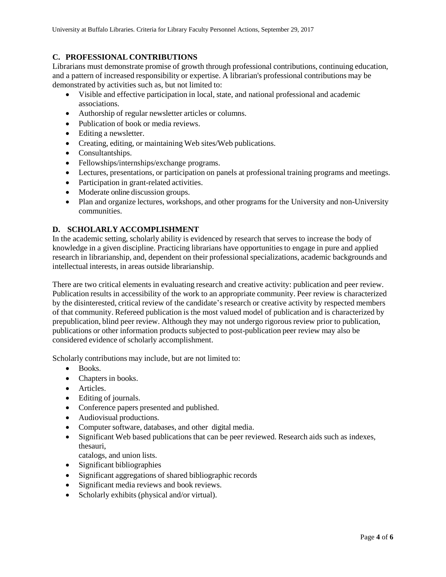## **C. PROFESSIONAL CONTRIBUTIONS**

Librarians must demonstrate promise of growth through professional contributions, continuing education, and a pattern of increased responsibility or expertise. A librarian's professional contributions may be demonstrated by activities such as, but not limited to:

- Visible and effective participation in local, state, and national professional and academic associations.
- Authorship of regular newsletter articles or columns.
- Publication of book or media reviews.
- Editing a newsletter.
- Creating, editing, or maintaining Web sites/Web publications.
- Consultantships.
- Fellowships/internships/exchange programs.
- Lectures, presentations, or participation on panels at professional training programs and meetings.
- Participation in grant-related activities.
- Moderate online discussion groups.
- Plan and organize lectures, workshops, and other programs for the University and non-University communities.

### **D. SCHOLARLY ACCOMPLISHMENT**

In the academic setting, scholarly ability is evidenced by research that serves to increase the body of knowledge in a given discipline. Practicing librarians have opportunitiesto engage in pure and applied research in librarianship, and, dependent on their professional specializations, academic backgrounds and intellectual interests, in areas outside librarianship.

There are two critical elements in evaluating research and creative activity: publication and peer review. Publication results in accessibility of the work to an appropriate community. Peer review is characterized by the disinterested, critical review of the candidate's research or creative activity by respected members of that community. Refereed publication is the most valued model of publication and is characterized by prepublication, blind peer review. Although they may not undergo rigorous review prior to publication, publications or other information products subjected to post-publication peer review may also be considered evidence of scholarly accomplishment.

Scholarly contributions may include, but are not limited to:

- Books.
- Chapters in books.
- Articles.
- Editing of journals.
- Conference papers presented and published.
- Audiovisual productions.
- Computer software, databases, and other digital media.
- Significant Web based publications that can be peer reviewed. Research aids such as indexes, thesauri,
	- catalogs, and union lists.
- Significant bibliographies
- Significant aggregations of shared bibliographic records
- Significant media reviews and book reviews.
- Scholarly exhibits (physical and/or virtual).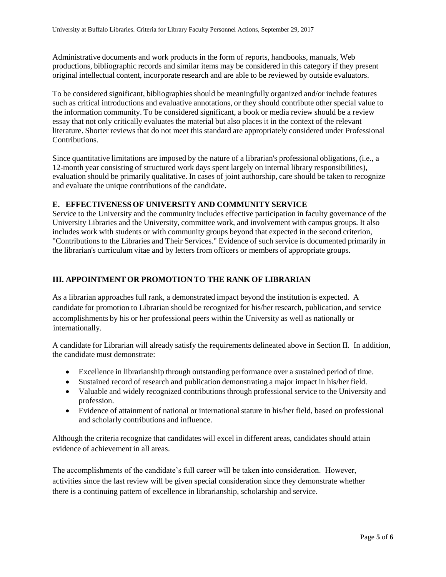Administrative documents and work products in the form of reports, handbooks, manuals, Web productions, bibliographic records and similar items may be considered in this category if they present original intellectual content, incorporate research and are able to be reviewed by outside evaluators.

To be considered significant, bibliographies should be meaningfully organized and/or include features such as critical introductions and evaluative annotations, or they should contribute other special value to the information community. To be considered significant, a book or media review should be a review essay that not only critically evaluates the material but also places it in the context of the relevant literature. Shorter reviews that do not meet this standard are appropriately considered under Professional Contributions.

Since quantitative limitations are imposed by the nature of a librarian's professional obligations, (i.e., a 12-month year consisting of structured work days spent largely on internal library responsibilities), evaluation should be primarily qualitative. In cases of joint authorship, care should be taken to recognize and evaluate the unique contributions of the candidate.

## **E. EFFECTIVENESS OF UNIVERSITY AND COMMUNITY SERVICE**

Service to the University and the community includes effective participation in faculty governance of the University Libraries and the University, committee work, and involvement with campus groups. It also includes work with students or with community groups beyond that expected in the second criterion, "Contributionsto the Libraries and Their Services." Evidence of such service is documented primarily in the librarian's curriculum vitae and by letters from officers or members of appropriate groups.

## **III. APPOINTMENT OR PROMOTION TO THE RANK OF LIBRARIAN**

As a librarian approaches full rank, a demonstrated impact beyond the institution is expected. A candidate for promotion to Librarian should be recognized for his/her research, publication, and service accomplishments by his or her professional peers within the University as well as nationally or internationally.

A candidate for Librarian will already satisfy the requirements delineated above in Section II. In addition, the candidate must demonstrate:

- Excellence in librarianship through outstanding performance over a sustained period of time.
- Sustained record of research and publication demonstrating a major impact in his/her field.
- Valuable and widely recognized contributions through professional service to the University and profession.
- Evidence of attainment of national or international stature in his/her field, based on professional and scholarly contributions and influence.

Although the criteria recognize that candidates will excel in different areas, candidates should attain evidence of achievement in all areas.

The accomplishments of the candidate's full career will be taken into consideration. However, activities since the last review will be given special consideration since they demonstrate whether there is a continuing pattern of excellence in librarianship, scholarship and service.